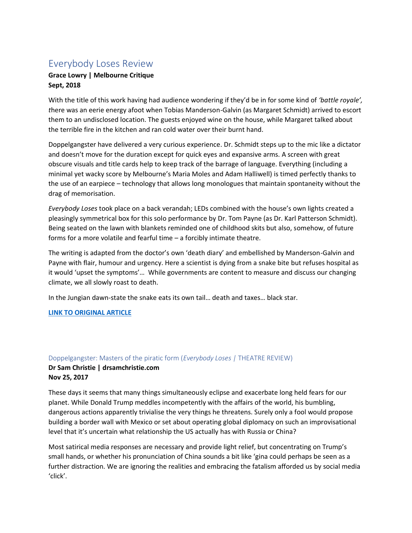# Everybody Loses Review

### **Grace Lowry | Melbourne Critique Sept, 2018**

With the title of this work having had audience wondering if they'd be in for some kind of *'battle royale', t*here was an eerie energy afoot when Tobias Manderson-Galvin (as Margaret Schmidt) arrived to escort them to an undisclosed location. The guests enjoyed wine on the house, while Margaret talked about the terrible fire in the kitchen and ran cold water over their burnt hand.

Doppelgangster have delivered a very curious experience. Dr. Schmidt steps up to the mic like a dictator and doesn't move for the duration except for quick eyes and expansive arms. A screen with great obscure visuals and title cards help to keep track of the barrage of language. Everything (including a minimal yet wacky score by Melbourne's Maria Moles and Adam Halliwell) is timed perfectly thanks to the use of an earpiece – technology that allows long monologues that maintain spontaneity without the drag of memorisation.

*Everybody Loses* took place on a back verandah; LEDs combined with the house's own lights created a pleasingly symmetrical box for this solo performance by Dr. Tom Payne (as Dr. Karl Patterson Schmidt). Being seated on the lawn with blankets reminded one of childhood skits but also, somehow, of future forms for a more volatile and fearful time – a forcibly intimate theatre.

The writing is adapted from the doctor's own 'death diary' and embellished by Manderson-Galvin and Payne with flair, humour and urgency. Here a scientist is dying from a snake bite but refuses hospital as it would 'upset the symptoms'… While governments are content to measure and discuss our changing climate, we all slowly roast to death.

In the Jungian dawn-state the snake eats its own tail… death and taxes… black star.

**[LINK TO ORIGINAL ARTICLE](http://www.geomythkavanagh.com/single-post/2017/12/04/Everybody-Loses)**

#### Doppelgangster: Masters of the piratic form (*Everybody Loses |* THEATRE REVIEW)

### **Dr Sam Christie | drsamchristie.com Nov 25, 2017**

These days it seems that many things simultaneously eclipse and exacerbate long held fears for our planet. While Donald Trump meddles incompetently with the affairs of the world, his bumbling, dangerous actions apparently trivialise the very things he threatens. Surely only a fool would propose building a border wall with Mexico or set about operating global diplomacy on such an improvisational level that it's uncertain what relationship the US actually has with Russia or China?

Most satirical media responses are necessary and provide light relief, but concentrating on Trump's small hands, or whether his pronunciation of China sounds a bit like 'gina could perhaps be seen as a further distraction. We are ignoring the realities and embracing the fatalism afforded us by social media 'click'.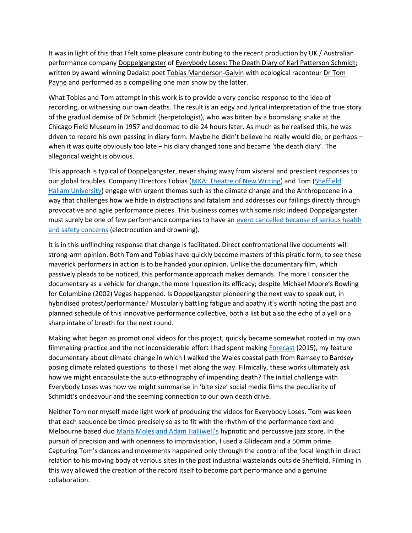It was in light of this that I felt some pleasure contributing to the recent production by UK / Australian performance company [Doppelgangster](http://www.doppelgangster.com/) of [Everybody Loses: The Death Diary of Karl Patterson Schmidt;](http://www.doppelgangster.com/everybody-loses) written by award winning Dadaist poet [Tobias Manderson-Galvin](http://www.tobiasmandersongalvin.com/) with ecological raconteur Dr Tom [Payne](http://www.drtompayne.com/) and performed as a compelling one man show by the latter.

What Tobias and Tom attempt in this work is to provide a very concise response to the idea of recording, or witnessing our own deaths. The result is an edgy and lyrical interpretation of the true story of the gradual demise of Dr Schmidt (herpetologist), who was bitten by a boomslang snake at the Chicago Field Museum in 1957 and doomed to die 24 hours later. As much as he realised this, he was driven to record his own passing in diary form. Maybe he didn't believe he really would die, or perhaps – when it was quite obviously too late – his diary changed tone and became 'the death diary'. The allegorical weight is obvious.

This approach is typical of Doppelgangster, never shying away from visceral and prescient responses to our global troubles. Company Directors Tobias [\(MKA: Theatre of New Writing\)](http://www.mka.org.au/) and Tom [\(Sheffield](http://www.shuperformance.co.uk/)  [Hallam University\)](http://www.shuperformance.co.uk/) engage with urgent themes such as the climate change and the Anthropocene in a way that challenges how we hide in distractions and fatalism and addresses our failings directly through provocative and agile performance pieces. This business comes with some risk; indeed Doppelgangster must surely be one of few performance companies to have an [event cancelled because of serious health](http://www.cambrian-news.co.uk/article.cfm?id=102879&headline=New%20date%20for%20show%20deemed%20%27too%20dangerous%20to%20perform%27§ionIs=news&searchyear=2016)  [and safety concerns](http://www.cambrian-news.co.uk/article.cfm?id=102879&headline=New%20date%20for%20show%20deemed%20%27too%20dangerous%20to%20perform%27§ionIs=news&searchyear=2016) (electrocution and drowning).

It is in this unflinching response that change is facilitated. Direct confrontational live documents will strong-arm opinion. Both Tom and Tobias have quickly become masters of this piratic form; to see these maverick performers in action is to be handed your opinion. Unlike the documentary film, which passively pleads to be noticed, this performance approach makes demands. The more I consider the documentary as a vehicle for change, the more I question its efficacy; despite Michael Moore's Bowling for Columbine (2002) Vegas happened. Is Doppelgangster pioneering the next way to speak out, in hybridised protest/performance? Muscularly battling fatigue and apathy it's worth noting the past and planned schedule of this innovative performance collective, both a list but also the echo of a yell or a sharp intake of breath for the next round.

Making what began as promotional videos for this project, quickly became somewhat rooted in my own filmmaking practice and the not inconsiderable effort I had spent making [Forecast](https://vimeo.com/138137384) (2015), my feature documentary about climate change in which I walked the Wales coastal path from Ramsey to Bardsey posing climate related questions to those I met along the way. Filmically, these works ultimately ask how we might encapsulate the auto-ethnography of impending death? The initial challenge with Everybody Loses was how we might summarise in 'bite size' social media films the peculiarity of Schmidt's endeavour and the seeming connection to our own death drive.

Neither Tom nor myself made light work of producing the videos for Everybody Loses. Tom was keen that each sequence be timed precisely so as to fit with the rhythm of the performance text and Melbourne based duo [Maria Moles and Adam Halliwell's](https://soundcloud.com/marianancy725) hypnotic and percussive jazz score. In the pursuit of precision and with openness to improvisation, I used a Glidecam and a 50mm prime. Capturing Tom's dances and movements happened only through the control of the focal length in direct relation to his moving body at various sites in the post industrial wastelands outside Sheffield. Filming in this way allowed the creation of the record itself to become part performance and a genuine collaboration.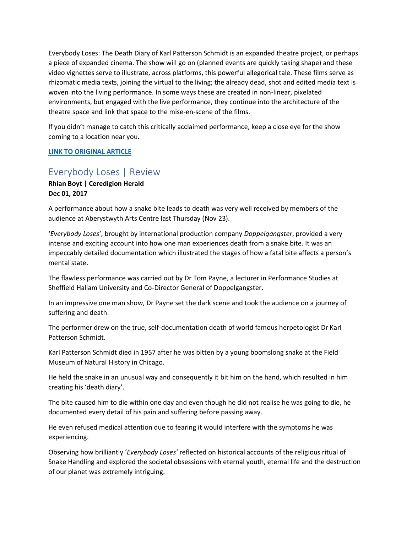Everybody Loses: The Death Diary of Karl Patterson Schmidt is an expanded theatre project, or perhaps a piece of expanded cinema. The show will go on (planned events are quickly taking shape) and these video vignettes serve to illustrate, across platforms, this powerful allegorical tale. These films serve as rhizomatic media texts, joining the virtual to the living; the already dead, shot and edited media text is woven into the living performance. In some ways these are created in non-linear, pixelated environments, but engaged with the live performance, they continue into the architecture of the theatre space and link that space to the mise-en-scene of the films.

If you didn't manage to catch this critically acclaimed performance, keep a close eye for the show coming to a location near you.

#### **[LINK TO ORIGINAL ARTICLE](https://www.drsamchristie.com/single-post/2017/11/25/Everybody-Loses---Doppelgangster)**

## Everybody Loses | Review

**Rhian Boyt | Ceredigion Herald Dec 01, 2017**

A performance about how a snake bite leads to death was very well received by members of the audience at Aberystwyth Arts Centre last Thursday (Nov 23).

'*Everybody Loses'*, brought by international production company *Doppelgangster*, provided a very intense and exciting account into how one man experiences death from a snake bite. It was an impeccably detailed documentation which illustrated the stages of how a fatal bite affects a person's mental state.

The flawless performance was carried out by Dr Tom Payne, a lecturer in Performance Studies at Sheffield Hallam University and Co-Director General of Doppelgangster.

In an impressive one man show, Dr Payne set the dark scene and took the audience on a journey of suffering and death.

The performer drew on the true, self-documentation death of world famous herpetologist Dr Karl Patterson Schmidt.

Karl Patterson Schmidt died in 1957 after he was bitten by a young boomslong snake at the Field Museum of Natural History in Chicago.

He held the snake in an unusual way and consequently it bit him on the hand, which resulted in him creating his 'death diary'.

The bite caused him to die within one day and even though he did not realise he was going to die, he documented every detail of his pain and suffering before passing away.

He even refused medical attention due to fearing it would interfere with the symptoms he was experiencing.

Observing how brilliantly '*Everybody Loses'* reflected on historical accounts of the religious ritual of Snake Handling and explored the societal obsessions with eternal youth, eternal life and the destruction of our planet was extremely intriguing.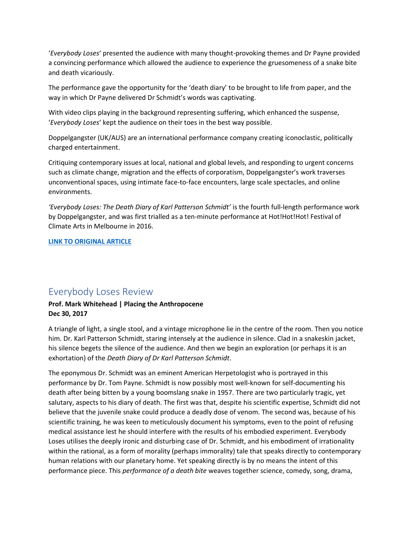'*Everybody Loses*' presented the audience with many thought-provoking themes and Dr Payne provided a convincing performance which allowed the audience to experience the gruesomeness of a snake bite and death vicariously.

The performance gave the opportunity for the 'death diary' to be brought to life from paper, and the way in which Dr Payne delivered Dr Schmidt's words was captivating.

With video clips playing in the background representing suffering, which enhanced the suspense, '*Everybody Loses*' kept the audience on their toes in the best way possible.

Doppelgangster (UK/AUS) are an international performance company creating iconoclastic, politically charged entertainment.

Critiquing contemporary issues at local, national and global levels, and responding to urgent concerns such as climate change, migration and the effects of corporatism, Doppelgangster's work traverses unconventional spaces, using intimate face-to-face encounters, large scale spectacles, and online environments.

*'Everybody Loses: The Death Diary of Karl Patterson Schmidt'* is the fourth full-length performance work by Doppelgangster, and was first trialled as a ten-minute performance at Hot!Hot!Hot! Festival of Climate Arts in Melbourne in 2016.

#### **[LINK TO ORIGINAL ARTICLE](https://view.publitas.com/herald-newspapers-plc/ceredigion-herald-issue-88/page/26-27)**

### Everybody Loses Review

#### **Prof. Mark Whitehead | Placing the Anthropocene Dec 30, 2017**

A triangle of light, a single stool, and a vintage microphone lie in the centre of the room. Then you notice him. Dr. Karl Patterson Schmidt, staring intensely at the audience in silence. Clad in a snakeskin jacket, his silence begets the silence of the audience. And then we begin an exploration (or perhaps it is an exhortation) of the *Death Diary of Dr Karl Patterson Schmidt*.

The eponymous Dr. Schmidt was an eminent American Herpetologist who is portrayed in this performance by Dr. Tom Payne. Schmidt is now possibly most well-known for self-documenting his death after being bitten by a young boomslang snake in 1957. There are two particularly tragic, yet salutary, aspects to his diary of death. The first was that, despite his scientific expertise, Schmidt did not believe that the juvenile snake could produce a deadly dose of venom. The second was, because of his scientific training, he was keen to meticulously document his symptoms, even to the point of refusing medical assistance lest he should interfere with the results of his embodied experiment. Everybody Loses utilises the deeply ironic and disturbing case of Dr. Schmidt, and his embodiment of irrationality within the rational, as a form of morality (perhaps immorality) tale that speaks directly to contemporary human relations with our planetary home. Yet speaking directly is by no means the intent of this performance piece. This *performance of a death bite* weaves together science, comedy, song, drama,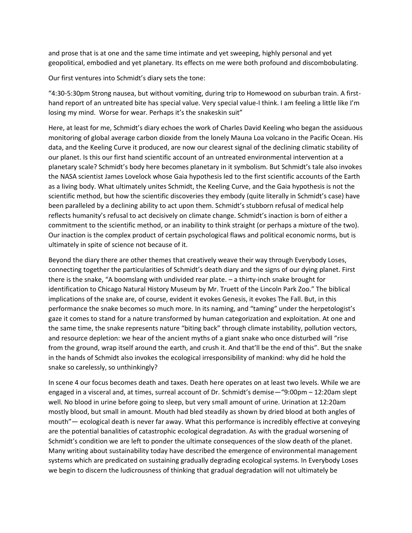and prose that is at one and the same time intimate and yet sweeping, highly personal and yet geopolitical, embodied and yet planetary. Its effects on me were both profound and discombobulating.

Our first ventures into Schmidt's diary sets the tone:

"4:30-5:30pm Strong nausea, but without vomiting, during trip to Homewood on suburban train. A firsthand report of an untreated bite has special value. Very special value-I think. I am feeling a little like I'm losing my mind. Worse for wear. Perhaps it's the snakeskin suit"

Here, at least for me, Schmidt's diary echoes the work of Charles David Keeling who began the assiduous monitoring of global average carbon dioxide from the lonely Mauna Loa volcano in the Pacific Ocean. His data, and the Keeling Curve it produced, are now our clearest signal of the declining climatic stability of our planet. Is this our first hand scientific account of an untreated environmental intervention at a planetary scale? Schmidt's body here becomes planetary in it symbolism. But Schmidt's tale also invokes the NASA scientist James Lovelock whose Gaia hypothesis led to the first scientific accounts of the Earth as a living body. What ultimately unites Schmidt, the Keeling Curve, and the Gaia hypothesis is not the scientific method, but how the scientific discoveries they embody (quite literally in Schmidt's case) have been paralleled by a declining ability to act upon them. Schmidt's stubborn refusal of medical help reflects humanity's refusal to act decisively on climate change. Schmidt's inaction is born of either a commitment to the scientific method, or an inability to think straight (or perhaps a mixture of the two). Our inaction is the complex product of certain psychological flaws and political economic norms, but is ultimately in spite of science not because of it.

Beyond the diary there are other themes that creatively weave their way through Everybody Loses, connecting together the particularities of Schmidt's death diary and the signs of our dying planet. First there is the snake, "A boomslang with undivided rear plate. – a thirty-inch snake brought for identification to Chicago Natural History Museum by Mr. Truett of the Lincoln Park Zoo." The biblical implications of the snake are, of course, evident it evokes Genesis, it evokes The Fall. But, in this performance the snake becomes so much more. In its naming, and "taming" under the herpetologist's gaze it comes to stand for a nature transformed by human categorization and exploitation. At one and the same time, the snake represents nature "biting back" through climate instability, pollution vectors, and resource depletion: we hear of the ancient myths of a giant snake who once disturbed will "rise from the ground, wrap itself around the earth, and crush it. And that'll be the end of this". But the snake in the hands of Schmidt also invokes the ecological irresponsibility of mankind: why did he hold the snake so carelessly, so unthinkingly?

In scene 4 our focus becomes death and taxes. Death here operates on at least two levels. While we are engaged in a visceral and, at times, surreal account of Dr. Schmidt's demise—"9:00pm – 12:20am slept well. No blood in urine before going to sleep, but very small amount of urine. Urination at 12:20am mostly blood, but small in amount. Mouth had bled steadily as shown by dried blood at both angles of mouth"— ecological death is never far away. What this performance is incredibly effective at conveying are the potential banalities of catastrophic ecological degradation. As with the gradual worsening of Schmidt's condition we are left to ponder the ultimate consequences of the slow death of the planet. Many writing about sustainability today have described the emergence of environmental management systems which are predicated on sustaining gradually degrading ecological systems. In Everybody Loses we begin to discern the ludicrousness of thinking that gradual degradation will not ultimately be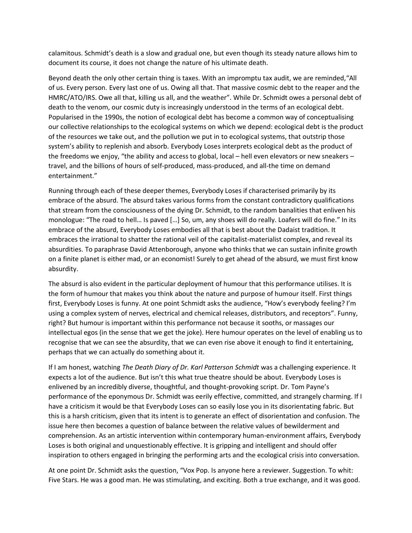calamitous. Schmidt's death is a slow and gradual one, but even though its steady nature allows him to document its course, it does not change the nature of his ultimate death.

Beyond death the only other certain thing is taxes. With an impromptu tax audit, we are reminded,"All of us. Every person. Every last one of us. Owing all that. That massive cosmic debt to the reaper and the HMRC/ATO/IRS. Owe all that, killing us all, and the weather". While Dr. Schmidt owes a personal debt of death to the venom, our cosmic duty is increasingly understood in the terms of an ecological debt. Popularised in the 1990s, the notion of ecological debt has become a common way of conceptualising our collective relationships to the ecological systems on which we depend: ecological debt is the product of the resources we take out, and the pollution we put in to ecological systems, that outstrip those system's ability to replenish and absorb. Everybody Loses interprets ecological debt as the product of the freedoms we enjoy, "the ability and access to global, local – hell even elevators or new sneakers – travel, and the billions of hours of self-produced, mass-produced, and all-the time on demand entertainment."

Running through each of these deeper themes, Everybody Loses if characterised primarily by its embrace of the absurd. The absurd takes various forms from the constant contradictory qualifications that stream from the consciousness of the dying Dr. Schmidt, to the random banalities that enliven his monologue: "The road to hell… Is paved […] So, um, any shoes will do really. Loafers will do fine." In its embrace of the absurd, Everybody Loses embodies all that is best about the Dadaist tradition. It embraces the irrational to shatter the rational veil of the capitalist-materialist complex, and reveal its absurdities. To paraphrase David Attenborough, anyone who thinks that we can sustain infinite growth on a finite planet is either mad, or an economist! Surely to get ahead of the absurd, we must first know absurdity.

The absurd is also evident in the particular deployment of humour that this performance utilises. It is the form of humour that makes you think about the nature and purpose of humour itself. First things first, Everybody Loses is funny. At one point Schmidt asks the audience, "How's everybody feeling? I'm using a complex system of nerves, electrical and chemical releases, distributors, and receptors". Funny, right? But humour is important within this performance not because it sooths, or massages our intellectual egos (in the sense that we get the joke). Here humour operates on the level of enabling us to recognise that we can see the absurdity, that we can even rise above it enough to find it entertaining, perhaps that we can actually do something about it.

If I am honest, watching *The Death Diary of Dr. Karl Patterson Schmidt* was a challenging experience. It expects a lot of the audience. But isn't this what true theatre should be about. Everybody Loses is enlivened by an incredibly diverse, thoughtful, and thought-provoking script. Dr. Tom Payne's performance of the eponymous Dr. Schmidt was eerily effective, committed, and strangely charming. If I have a criticism it would be that Everybody Loses can so easily lose you in its disorientating fabric. But this is a harsh criticism, given that its intent is to generate an effect of disorientation and confusion. The issue here then becomes a question of balance between the relative values of bewilderment and comprehension. As an artistic intervention within contemporary human-environment affairs, Everybody Loses is both original and unquestionably effective. It is gripping and intelligent and should offer inspiration to others engaged in bringing the performing arts and the ecological crisis into conversation.

At one point Dr. Schmidt asks the question, "Vox Pop. Is anyone here a reviewer. Suggestion. To whit: Five Stars. He was a good man. He was stimulating, and exciting. Both a true exchange, and it was good.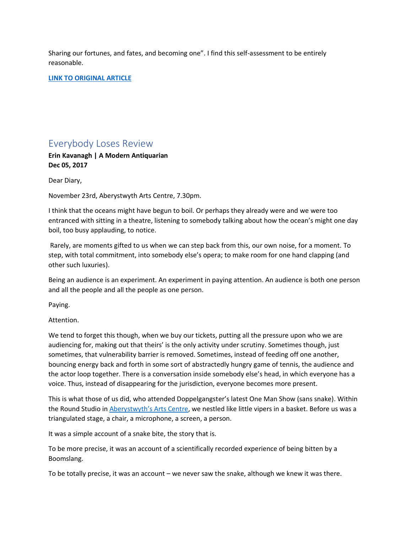Sharing our fortunes, and fates, and becoming one". I find this self-assessment to be entirely reasonable.

**[LINK TO ORIGINAL ARTICLE](https://anthropocenedotcom.wordpress.com/2017/12/30/performing-the-anthropocene-everybody-loses-a-review/)**

## Everybody Loses Review

**Erin Kavanagh | A Modern Antiquarian Dec 05, 2017**

Dear Diary,

November 23rd, Aberystwyth Arts Centre, 7.30pm.

I think that the oceans might have begun to boil. Or perhaps they already were and we were too entranced with sitting in a theatre, listening to somebody talking about how the ocean's might one day boil, too busy applauding, to notice.

Rarely, are moments gifted to us when we can step back from this, our own noise, for a moment. To step, with total commitment, into somebody else's opera; to make room for one hand clapping (and other such luxuries).

Being an audience is an experiment. An experiment in paying attention. An audience is both one person and all the people and all the people as one person.

Paying.

Attention.

We tend to forget this though, when we buy our tickets, putting all the pressure upon who we are audiencing for, making out that theirs' is the only activity under scrutiny. Sometimes though, just sometimes, that vulnerability barrier is removed. Sometimes, instead of feeding off one another, bouncing energy back and forth in some sort of abstractedly hungry game of tennis, the audience and the actor loop together. There is a conversation inside somebody else's head, in which everyone has a voice. Thus, instead of disappearing for the jurisdiction, everyone becomes more present.

This is what those of us did, who attended Doppelgangster's latest One Man Show (sans snake). Within the Round Studio in [Aberystwyth's Arts Centre](https://www.aberystwythartscentre.co.uk/theatre/everybody-loses-doppelgangster), we nestled like little vipers in a basket. Before us was a triangulated stage, a chair, a microphone, a screen, a person.

It was a simple account of a snake bite, the story that is.

To be more precise, it was an account of a scientifically recorded experience of being bitten by a Boomslang.

To be totally precise, it was an account – we never saw the snake, although we knew it was there.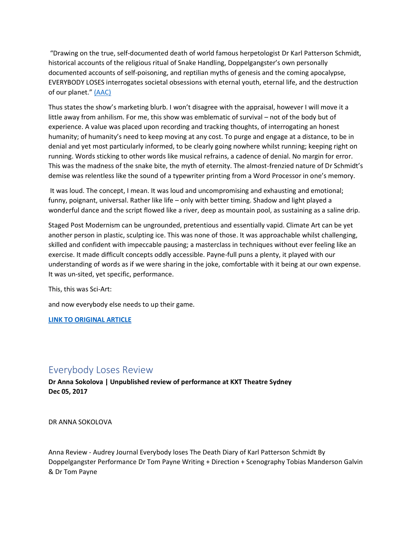"Drawing on the true, self-documented death of world famous herpetologist Dr Karl Patterson Schmidt, historical accounts of the religious ritual of Snake Handling, Doppelgangster's own personally documented accounts of self-poisoning, and reptilian myths of genesis and the coming apocalypse, EVERYBODY LOSES interrogates societal obsessions with eternal youth, eternal life, and the destruction of our planet." [\(AAC\)](https://www.aberystwythartscentre.co.uk/theatre/everybody-loses-doppelgangster)

Thus states the show's marketing blurb. I won't disagree with the appraisal, however I will move it a little away from anhilism. For me, this show was emblematic of survival – not of the body but of experience. A value was placed upon recording and tracking thoughts, of interrogating an honest humanity; of humanity's need to keep moving at any cost. To purge and engage at a distance, to be in denial and yet most particularly informed, to be clearly going nowhere whilst running; keeping right on running. Words sticking to other words like musical refrains, a cadence of denial. No margin for error. This was the madness of the snake bite, the myth of eternity. The almost-frenzied nature of Dr Schmidt's demise was relentless like the sound of a typewriter printing from a Word Processor in one's memory.

It was loud. The concept, I mean. It was loud and uncompromising and exhausting and emotional; funny, poignant, universal. Rather like life – only with better timing. Shadow and light played a wonderful dance and the script flowed like a river, deep as mountain pool, as sustaining as a saline drip.

Staged Post Modernism can be ungrounded, pretentious and essentially vapid. Climate Art can be yet another person in plastic, sculpting ice. This was none of those. It was approachable whilst challenging, skilled and confident with impeccable pausing; a masterclass in techniques without ever feeling like an exercise. It made difficult concepts oddly accessible. Payne-full puns a plenty, it played with our understanding of words as if we were sharing in the joke, comfortable with it being at our own expense. It was un-sited, yet specific, performance.

This, this was Sci-Art:

and now everybody else needs to up their game.

**[LINK TO ORIGINAL ARTICLE](http://www.geomythkavanagh.com/single-post/2017/12/04/Everybody-Loses)**

### Everybody Loses Review

**Dr Anna Sokolova | Unpublished review of performance at KXT Theatre Sydney Dec 05, 2017**

DR ANNA SOKOLOVA

Anna Review - Audrey Journal Everybody loses The Death Diary of Karl Patterson Schmidt By Doppelgangster Performance Dr Tom Payne Writing + Direction + Scenography Tobias Manderson Galvin & Dr Tom Payne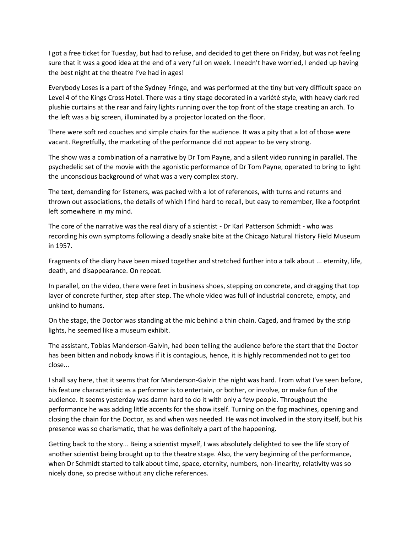I got a free ticket for Tuesday, but had to refuse, and decided to get there on Friday, but was not feeling sure that it was a good idea at the end of a very full on week. I needn't have worried, I ended up having the best night at the theatre I've had in ages!

Everybody Loses is a part of the Sydney Fringe, and was performed at the tiny but very difficult space on Level 4 of the Kings Cross Hotel. There was a tiny stage decorated in a variété style, with heavy dark red plushie curtains at the rear and fairy lights running over the top front of the stage creating an arch. To the left was a big screen, illuminated by a projector located on the floor.

There were soft red couches and simple chairs for the audience. It was a pity that a lot of those were vacant. Regretfully, the marketing of the performance did not appear to be very strong.

The show was a combination of a narrative by Dr Tom Payne, and a silent video running in parallel. The psychedelic set of the movie with the agonistic performance of Dr Tom Payne, operated to bring to light the unconscious background of what was a very complex story.

The text, demanding for listeners, was packed with a lot of references, with turns and returns and thrown out associations, the details of which I find hard to recall, but easy to remember, like a footprint left somewhere in my mind.

The core of the narrative was the real diary of a scientist - Dr Karl Patterson Schmidt - who was recording his own symptoms following a deadly snake bite at the Chicago Natural History Field Museum in 1957.

Fragments of the diary have been mixed together and stretched further into a talk about ... eternity, life, death, and disappearance. On repeat.

In parallel, on the video, there were feet in business shoes, stepping on concrete, and dragging that top layer of concrete further, step after step. The whole video was full of industrial concrete, empty, and unkind to humans.

On the stage, the Doctor was standing at the mic behind a thin chain. Caged, and framed by the strip lights, he seemed like a museum exhibit.

The assistant, Tobias Manderson-Galvin, had been telling the audience before the start that the Doctor has been bitten and nobody knows if it is contagious, hence, it is highly recommended not to get too close...

I shall say here, that it seems that for Manderson-Galvin the night was hard. From what I've seen before, his feature characteristic as a performer is to entertain, or bother, or involve, or make fun of the audience. It seems yesterday was damn hard to do it with only a few people. Throughout the performance he was adding little accents for the show itself. Turning on the fog machines, opening and closing the chain for the Doctor, as and when was needed. He was not involved in the story itself, but his presence was so charismatic, that he was definitely a part of the happening.

Getting back to the story... Being a scientist myself, I was absolutely delighted to see the life story of another scientist being brought up to the theatre stage. Also, the very beginning of the performance, when Dr Schmidt started to talk about time, space, eternity, numbers, non-linearity, relativity was so nicely done, so precise without any cliche references.